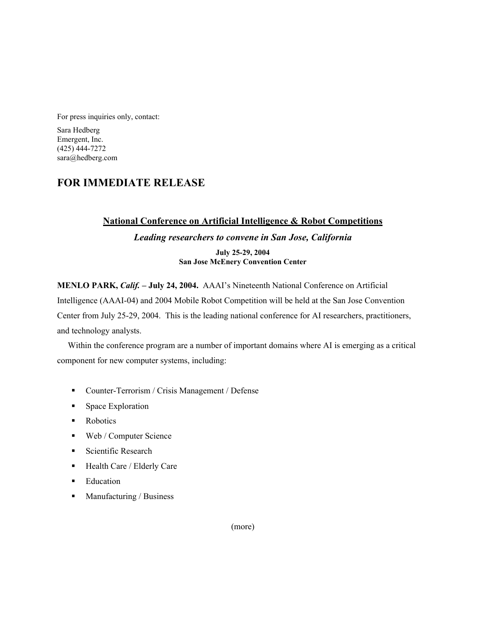For press inquiries only, contact:

Sara Hedberg Emergent, Inc. (425) 444-7272 sara@hedberg.com

# **FOR IMMEDIATE RELEASE**

## **National Conference on Artificial Intelligence & Robot Competitions**

# *Leading researchers to convene in San Jose, California*

**July 25-29, 2004 San Jose McEnery Convention Center**

**MENLO PARK,** *Calif.* **– July 24, 2004.** AAAI's Nineteenth National Conference on Artificial Intelligence (AAAI-04) and 2004 Mobile Robot Competition will be held at the San Jose Convention Center from July 25-29, 2004. This is the leading national conference for AI researchers, practitioners, and technology analysts.

Within the conference program are a number of important domains where AI is emerging as a critical component for new computer systems, including:

- Counter-Terrorism / Crisis Management / Defense
- Space Exploration
- Robotics
- Web / Computer Science
- Scientific Research
- Health Care / Elderly Care
- **Education**
- $\blacksquare$  Manufacturing / Business

(more)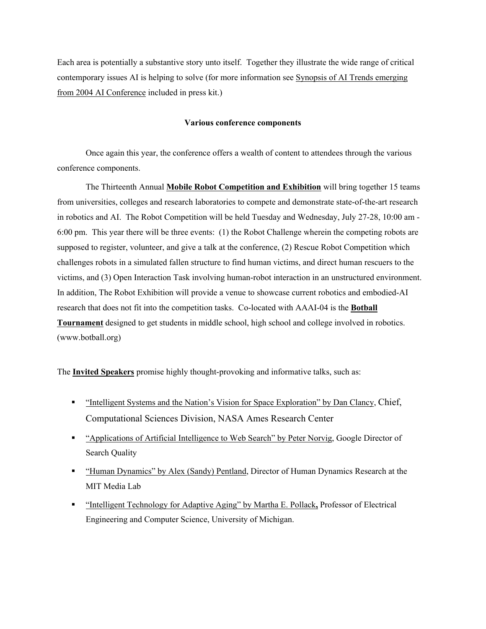Each area is potentially a substantive story unto itself. Together they illustrate the wide range of critical contemporary issues AI is helping to solve (for more information see Synopsis of AI Trends emerging from 2004 AI Conference included in press kit.)

#### **Various conference components**

Once again this year, the conference offers a wealth of content to attendees through the various conference components.

The Thirteenth Annual **Mobile Robot Competition and Exhibition** will bring together 15 teams from universities, colleges and research laboratories to compete and demonstrate state-of-the-art research in robotics and AI. The Robot Competition will be held Tuesday and Wednesday, July 27-28, 10:00 am - 6:00 pm. This year there will be three events: (1) the Robot Challenge wherein the competing robots are supposed to register, volunteer, and give a talk at the conference, (2) Rescue Robot Competition which challenges robots in a simulated fallen structure to find human victims, and direct human rescuers to the victims, and (3) Open Interaction Task involving human-robot interaction in an unstructured environment. In addition, The Robot Exhibition will provide a venue to showcase current robotics and embodied-AI research that does not fit into the competition tasks. Co-located with AAAI-04 is the **Botball Tournament** designed to get students in middle school, high school and college involved in robotics. (www.botball.org)

The **Invited Speakers** promise highly thought-provoking and informative talks, such as:

- "Intelligent Systems and the Nation's Vision for Space Exploration" by Dan Clancy, Chief, Computational Sciences Division, NASA Ames Research Center
- " "Applications of Artificial Intelligence to Web Search" by Peter Norvig, Google Director of Search Quality
- " "Human Dynamics" by Alex (Sandy) Pentland, Director of Human Dynamics Research at the MIT Media Lab
- "Intelligent Technology for Adaptive Aging" by Martha E. Pollack**,** Professor of Electrical Engineering and Computer Science, University of Michigan.